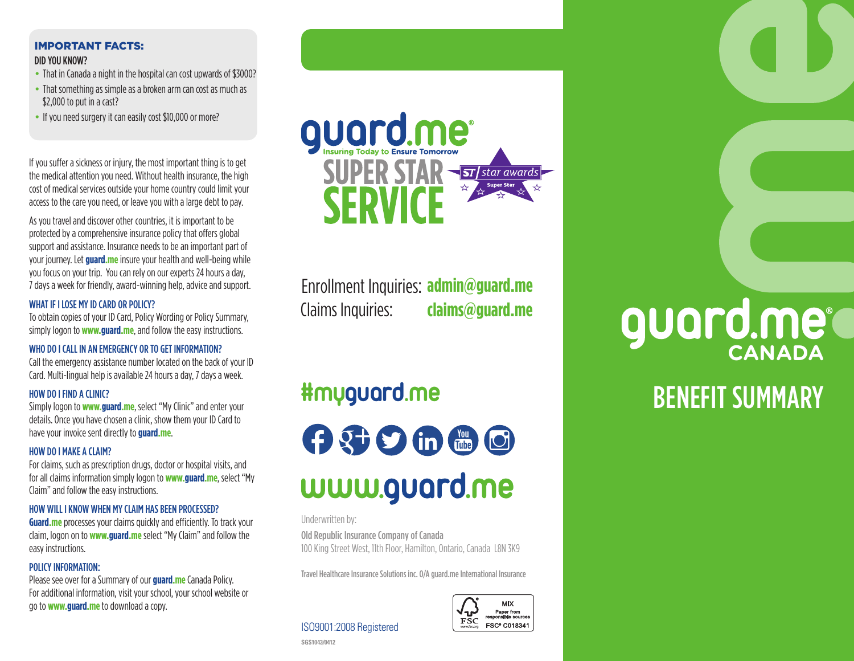## IMPORTANT FACTS: DID YOU KNOW?

- That in Canada a night in the hospital can cost upwards of \$3000?
- That something as simple as a broken arm can cost as much as \$2,000 to put in a cast?
- If you need surgery it can easily cost \$10,000 or more?

If you suffer a sickness or injury, the most important thing is to get the medical attention you need. Without health insurance, the high cost of medical services outside your home country could limit your access to the care you need, or leave you with a large debt to pay.

As you travel and discover other countries, it is important to be protected by a comprehensive insurance policy that offers global support and assistance. Insurance needs to be an important part of your journey. Let **guard.me** insure your health and well-being while you focus on your trip. You can rely on our experts 24 hours a day, 7 days a week for friendly, award-winning help, advice and support.

## WHAT IF I LOSE MY ID CARD OR POLICY?

To obtain copies of your ID Card, Policy Wording or Policy Summary, simply logon to **www.guard.me**, and follow the easy instructions.

### WHO DO I CALL IN AN EMERGENCY OR TO GET INFORMATION?

Call the emergency assistance number located on the back of your ID Card. Multi-lingual help is available 24 hours a day, 7 days a week.

## HOW DO I FIND A CLINIC?

Simply logon to **www.guard.me**, select "My Clinic" and enter your details. Once you have chosen a clinic, show them your ID Card to have your invoice sent directly to **guard.me**.

#### HOW DO I MAKE A CLAIM?

For claims, such as prescription drugs, doctor or hospital visits, and for all claims information simply logon to **www.guard.me**, select "My Claim" and follow the easy instructions.

### HOW WILL I KNOW WHEN MY CLAIM HAS BEEN PROCESSED?

**Guard.me** processes your claims quickly and efficiently. To track your claim, logon on to **www.guard.me** select "My Claim" and follow the easy instructions.

## POLICY INFORMATION:

Please see over for a Summary of our **guard.me** Canada Policy. For additional information, visit your school, your school website or go to **www.guard.me** to download a copy.



Enrollment Inquiries: **admin@guard.me** Claims Inquiries: **claims@guard.me**

## **#myguard.me**

**OSCIED CO** www.guard.me

Underwritten by:

Old Republic Insurance Company of Canada 100 King Street West, 11th Floor, Hamilton, Ontario, Canada L8N 3K9

Travel Healthcare Insurance Solutions inc. O/A guard.me International Insurance



ISO9001:2008 Registered

**SGS1043/0412**

# **guard.me**

## BENEFIT SUMMARY